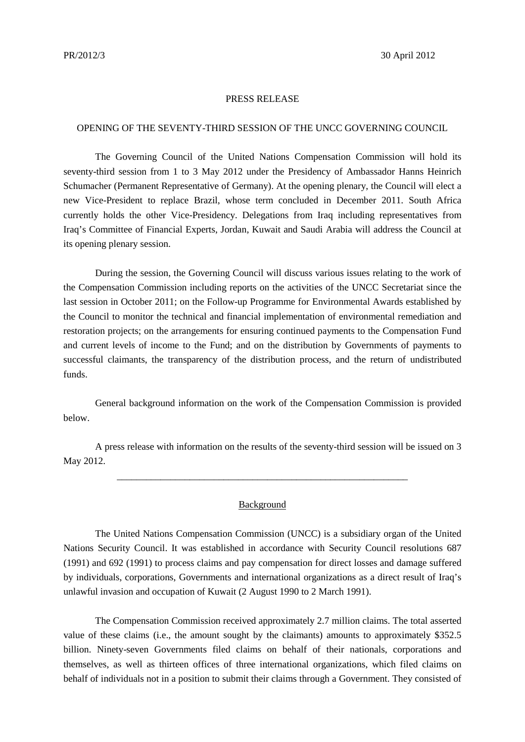## PRESS RELEASE

## OPENING OF THE SEVENTY-THIRD SESSION OF THE UNCC GOVERNING COUNCIL

The Governing Council of the United Nations Compensation Commission will hold its seventy-third session from 1 to 3 May 2012 under the Presidency of Ambassador Hanns Heinrich Schumacher (Permanent Representative of Germany). At the opening plenary, the Council will elect a new Vice-President to replace Brazil, whose term concluded in December 2011. South Africa currently holds the other Vice-Presidency. Delegations from Iraq including representatives from Iraq's Committee of Financial Experts, Jordan, Kuwait and Saudi Arabia will address the Council at its opening plenary session.

During the session, the Governing Council will discuss various issues relating to the work of the Compensation Commission including reports on the activities of the UNCC Secretariat since the last session in October 2011; on the Follow-up Programme for Environmental Awards established by the Council to monitor the technical and financial implementation of environmental remediation and restoration projects; on the arrangements for ensuring continued payments to the Compensation Fund and current levels of income to the Fund; and on the distribution by Governments of payments to successful claimants, the transparency of the distribution process, and the return of undistributed funds.

General background information on the work of the Compensation Commission is provided below.

A press release with information on the results of the seventy-third session will be issued on 3 May 2012.

\_\_\_\_\_\_\_\_\_\_\_\_\_\_\_\_\_\_\_\_\_\_\_\_\_\_\_\_\_\_\_\_\_\_\_\_\_\_\_\_\_\_\_\_\_\_\_\_\_\_\_\_\_\_\_\_\_\_\_\_

## **Background**

The United Nations Compensation Commission (UNCC) is a subsidiary organ of the United Nations Security Council. It was established in accordance with Security Council resolutions 687 (1991) and 692 (1991) to process claims and pay compensation for direct losses and damage suffered by individuals, corporations, Governments and international organizations as a direct result of Iraq's unlawful invasion and occupation of Kuwait (2 August 1990 to 2 March 1991).

The Compensation Commission received approximately 2.7 million claims. The total asserted value of these claims (i.e., the amount sought by the claimants) amounts to approximately \$352.5 billion. Ninety-seven Governments filed claims on behalf of their nationals, corporations and themselves, as well as thirteen offices of three international organizations, which filed claims on behalf of individuals not in a position to submit their claims through a Government. They consisted of